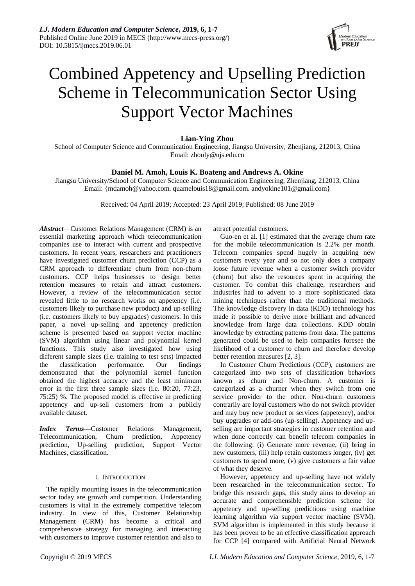

# Combined Appetency and Upselling Prediction Scheme in Telecommunication Sector Using Support Vector Machines

**Lian-Ying Zhou**

School of Computer Science and Communication Engineering, Jiangsu University, Zhenjiang, 212013, China Email: zhouly@ujs.edu.cn

# **Daniel M. Amoh, Louis K. Boateng and Andrews A. Okine**

Jiangsu University/School of Computer Science and Communication Engineering, Zhenjiang, 212013, China Email: {mdamoh@yahoo.com. quamelouis18@gmail.com. andyokine101@gmail.com}

Received: 04 April 2019; Accepted: 23 April 2019; Published: 08 June 2019

*Abstract*—Customer Relations Management (CRM) is an essential marketing approach which telecommunication companies use to interact with current and prospective customers. In recent years, researchers and practitioners have investigated customer churn prediction (CCP) as a CRM approach to differentiate churn from non-churn customers. CCP helps businesses to design better retention measures to retain and attract customers. However, a review of the telecommunication sector revealed little to no research works on appetency (i.e. customers likely to purchase new product) and up-selling (i.e. customers likely to buy upgrades) customers. In this paper, a novel up-selling and appetency prediction scheme is presented based on support vector machine (SVM) algorithm using linear and polynomial kernel functions. This study also investigated how using different sample sizes (i.e. training to test sets) impacted the classification performance. Our findings demonstrated that the polynomial kernel function obtained the highest accuracy and the least minimum error in the first three sample sizes (i.e. 80:20, 77:23, 75:25) %. The proposed model is effective in predicting appetency and up-sell customers from a publicly available dataset.

*Index Terms***—**Customer Relations Management, Telecommunication, Churn prediction, Appetency prediction, Up-selling prediction, Support Vector Machines, classification.

# I. INTRODUCTION

The rapidly mounting issues in the telecommunication sector today are growth and competition. Understanding customers is vital in the extremely competitive telecom industry. In view of this, Customer Relationship Management (CRM) has become a critical and comprehensive strategy for managing and interacting with customers to improve customer retention and also to

attract potential customers.

Guo-en et al. [1] estimated that the average churn rate for the mobile telecommunication is 2.2% per month. Telecom companies spend hugely in acquiring new customers every year and so not only does a company loose future revenue when a customer switch provider (churn) but also the resources spent in acquiring the customer. To combat this challenge, researchers and industries had to advent to a more sophisticated data mining techniques rather than the traditional methods. The knowledge discovery in data (KDD) technology has made it possible to derive more brilliant and advanced knowledge from large data collections. KDD obtain knowledge by extracting patterns from data. The patterns generated could be used to help companies foresee the likelihood of a customer to churn and therefore develop better retention measures [2, 3].

In Customer Churn Predictions (CCP), customers are categorized into two sets of classification behaviors known as churn and Non-churn. A customer is categorized as a churner when they switch from one service provider to the other. Non-churn customers contrarily are loyal customers who do not switch provider and may buy new product or services (appetency), and/or buy upgrades or add-ons (up-selling). Appetency and upselling are important strategies in customer retention and when done correctly can benefit telecom companies in the following: (i) Generate more revenue, (ii) bring in new customers, (iii) help retain customers longer, (iv) get customers to spend more, (v) give customers a fair value of what they deserve.

However, appetency and up-selling have not widely been researched in the telecommunication sector. To bridge this research gaps, this study aims to develop an accurate and comprehensible prediction scheme for appetency and up-selling predictions using machine learning algorithm via support vector machine (SVM). SVM algorithm is implemented in this study because it has been proven to be an effective classification approach for CCP [4] compared with Artificial Neural Network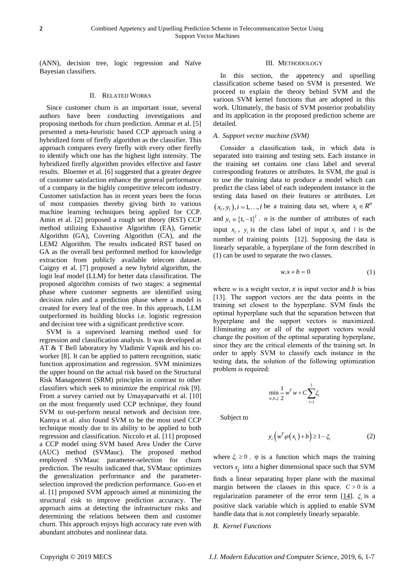(ANN), decision tree, logic regression and Naïve Bayesian classifiers.

# II. RELATED WORKS

Since customer churn is an important issue, several authors have been conducting investigations and proposing methods for churn prediction. Ammar et al. [5] presented a meta-heuristic based CCP approach using a hybridized form of firefly algorithm as the classifier. This approach compares every firefly with every other firefly to identify which one has the highest light intensity. The hybridized firefly algorithm provides effective and faster results. Bloemer et al. [6] suggested that a greater degree of customer satisfaction enhance the general performance of a company in the highly competitive telecom industry. Customer satisfaction has in recent years been the focus of most companies thereby giving birth to various machine learning techniques being applied for CCP. Amin et al. [2] proposed a rough set theory (RST) CCP method utilizing Exhaustive Algorithm (EA), Genetic Algorithm (GA), Covering Algorithm (CA), and the LEM2 Algorithm. The results indicated RST based on GA as the overall best performed method for knowledge extraction from publicly available telecom dataset. Caigny et al. [7] proposed a new hybrid algorithm, the logit leaf model (LLM) for better data classification. The proposed algorithm consists of two stages: a segmental phase where customer segments are identified using decision rules and a prediction phase where a model is created for every leaf of the tree. In this approach, LLM outperformed its building blocks i.e. logistic regression and decision tree with a significant predictive score.

SVM is a supervised learning method used for regression and classification analysis. It was developed at AT & T Bell laboratory by Vladimir Vapnik and his coworker [8]. It can be applied to pattern recognition, static function approximation and regression. SVM minimizes the upper bound on the actual risk based on the Structural Risk Management (SRM) principles in contrast to other classifiers which seek to minimize the empirical risk [9]. From a survey carried out by Umayaparvathi et al. [10] on the most frequently used CCP technique, they found SVM to out-perform neural network and decision tree. Kamya et al. also found SVM to be the most used CCP technique mostly due to its ability to be applied to both regression and classification. Niccolo et al. [11] proposed a CCP model using SVM based Area Under the Curve (AUC) method (SVMauc). The proposed method employed SVMauc parameter-selection for churn prediction. The results indicated that, SVMauc optimizes the generalization performance and the parameterselection improved the prediction performance. Guo-en et al. [1] proposed SVM approach aimed at minimizing the structural risk to improve prediction accuracy. The approach aims at detecting the infrastructure risks and determining the relations between them and customer churn. This approach enjoys high accuracy rate even with abundant attributes and nonlinear data.

# III. METHODOLOGY

In this section, the appetency and upselling classification scheme based on SVM is presented. We proceed to explain the theory behind SVM and the various SVM kernel functions that are adopted in this work. Ultimately, the basis of SVM posterior probability and its application in the proposed prediction scheme are detailed.

## *A. Support vector machine (SVM)*

Consider a classification task, in which data is separated into training and testing sets. Each instance in the training set contains one class label and several corresponding features or attributes. In SVM, the goal is to use the training data to produce a model which can predict the class label of each independent instance in the testing data based on their features or attributes. Let  $(x_i, y_i)$ , *i* = 1, ..., *l* be a training data set, where  $x_i \in R^n$ and  $y_i \in \{1, -1\}^l$ . *n* is the number of attributes of each input  $x_i$ ,  $y_i$  is the class label of input  $x_i$  and *l* is the number of training points [\[12\]](#page-5-0). Supposing the data is linearly separable, a hyperplane of the form described in (1) can be used to separate the two classes.

$$
w.x + b = 0 \tag{1}
$$

where  $w$  is a weight vector,  $x$  is input vector and  $b$  is bias [\[13\]](#page-5-1). The support vectors are the data points in the training set closest to the hyperplane. SVM finds the optimal hyperplane such that the separation between that hyperplane and the support vectors is maximized. Eliminating any or all of the support vectors would change the position of the optimal separating hyperplane, since they are the critical elements of the training set. In order to apply SVM to classify each instance in the testing data, the solution of the following optimization problem is required:

$$
\min_{w,b,\xi} \frac{1}{2} w^T w + C \sum_{i=1}^l \xi_i
$$

Subject to

$$
y_i\left(w^T\varphi(x_i)+b\right) \ge 1-\xi_i \tag{2}
$$

where  $\xi_i \geq 0$ .  $\varphi$  is a function which maps the training vectors  $x_i$  into a higher dimensional space such that SVM finds a linear separating hyper plane with the maximal margin between the classes in this space.  $C > 0$  is a regularization parameter of the error term  $[14]$ .  $\xi$  is a positive slack variable which is applied to enable SVM handle data that is not completely linearly separable.

# *B. Kernel Functions*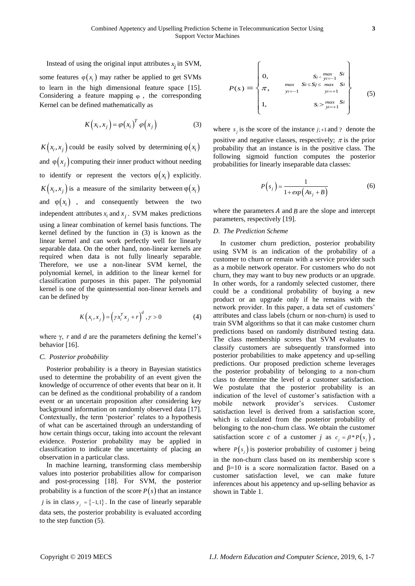Instead of using the original input attributes  $x_i$  in SVM,

some features  $\varphi(x_i)$  may rather be applied to get SVMs to learn in the high dimensional feature space [\[15\]](#page-5-3). Considering a feature mapping  $\varphi$ , the corresponding Kernel can be defined mathematically as

$$
K(x_i, x_j) = \varphi(x_i)^T \varphi(x_j)
$$
 (3)

 $K(x_i, x_j)$  could be easily solved by determining  $\varphi(x_i)$ and  $\varphi(x_j)$  computing their inner product without needing to identify or represent the vectors  $\varphi(x_i)$  explicitly.  $K(x_i, x_j)$  is a measure of the similarity between  $\varphi(x_i)$ and  $\varphi(x_i)$  , and consequently between the two independent attributes  $x_i$  and  $x_j$ . SVM makes predictions using a linear combination of kernel basis functions. The kernel defined by the function in (3) is known as the linear kernel and can work perfectly well for linearly separable data. On the other hand, non-linear kernels are required when data is not fully linearly separable. Therefore, we use a non-linear SVM kernel, the polynomial kernel, in addition to the linear kernel for classification purposes in this paper. The polynomial kernel is one of the quintessential non-linear kernels and can be defined by

$$
K(x_i, x_j) = \left(\gamma x_i^T x_j + r\right)^d, \gamma > 0 \tag{4}
$$

where  $\gamma$ , r and  $d$  are the parameters defining the kernel's behavior [\[16\]](#page-5-4).

#### *C. Posterior probability*

Posterior probability is a theory in Bayesian statistics used to determine the probability of an event given the knowledge of occurrence of other events that bear on it. It can be defined as the conditional probability of a random event or an uncertain proposition after considering key background information on randomly observed data [\[17\]](#page-5-5). Contextually, the term 'posterior' relates to a hypothesis of what can be ascertained through an understanding of how certain things occur, taking into account the relevant evidence. Posterior probability may be applied in classification to indicate the uncertainty of placing an observation in a particular class.

In machine learning, transforming class membership values into posterior probabilities allow for comparison and post-processing [\[18\]](#page-5-6). For SVM, the posterior probability is a function of the score  $P(s)$  that an instance *j* is in class  $y_j = \{-1,1\}$ . In the case of linearly separable data sets, the posterior probability is evaluated according to the step function (5).

$$
P(s) = \begin{Bmatrix} 0, & s_{j < \frac{max}{y_{i=-1}}} & S_{i} \\ \pi, & \max_{y_{i=-1}} & S_{i \leq S} & \max_{y_{i}=+1} & S_{i} \\ 1, & s_{j > \frac{max}{y_{i}=+1}} & S_{i} \end{Bmatrix}
$$
 (5)

where  $s_j$  is the score of the instance  $j;+1$  and ? denote the positive and negative classes, respectively;  $\pi$  is the prior probability that an instance is in the positive class. The following sigmoid function computes the posterior probabilities for linearly inseparable data classes:

$$
P(s_j) = \frac{1}{1 + exp(As_j + B)}
$$
 (6)

where the parameters  $A$  and  $B$  are the slope and intercept parameters, respectively [\[19\]](#page-6-0).

# *D. The Prediction Scheme*

In customer churn prediction, posterior probability using SVM is an indication of the probability of a customer to churn or remain with a service provider such as a mobile network operator. For customers who do not churn, they may want to buy new products or an upgrade. In other words, for a randomly selected customer, there could be a conditional probability of buying a new product or an upgrade only if he remains with the network provider. In this paper, a data set of customers' attributes and class labels (churn or non-churn) is used to train SVM algorithms so that it can make customer churn predictions based on randomly distributed testing data. The class membership scores that SVM evaluates to classify customers are subsequently transformed into posterior probabilities to make appetency and up-selling predictions. Our proposed prediction scheme leverages the posterior probability of belonging to a non-churn class to determine the level of a customer satisfaction. We postulate that the posterior probability is an indication of the level of customer's satisfaction with a mobile network provider's services. Customer satisfaction level is derived from a satisfaction score, which is calculated from the posterior probability of belonging to the non-churn class. We obtain the customer satisfaction score *c* of a customer *j* as  $c_j = \beta * P(s_j)$ , where  $P(s_j)$  is posterior probability of customer j being in the non-churn class based on its membership score s and  $\beta$ =10 is a score normalization factor. Based on a customer satisfaction level, we can make future inferences about his appetency and up-selling behavior as shown in Table 1.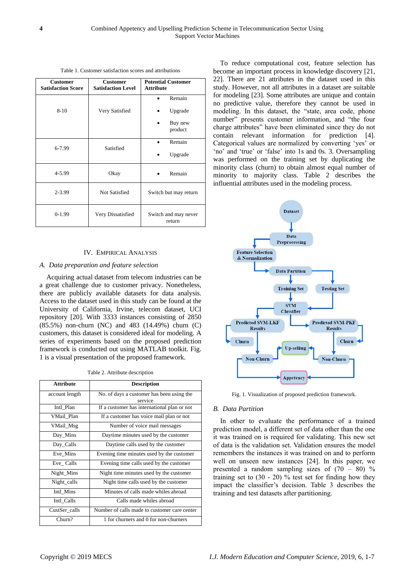Table 1. Customer satisfaction scores and attributions

| <b>Customer</b><br><b>Satisfaction Score</b> | <b>Customer</b><br><b>Satisfaction Level</b> | <b>Potential Customer</b><br><b>Attribute</b> |
|----------------------------------------------|----------------------------------------------|-----------------------------------------------|
|                                              |                                              | Remain                                        |
| $8 - 10$                                     | Very Satisfied                               | Upgrade                                       |
|                                              |                                              | Buy new<br>product                            |
| 6-7.99                                       | Satisfied                                    | Remain                                        |
|                                              |                                              | Upgrade                                       |
| 4-5.99                                       | Okay                                         | Remain                                        |
| $2 - 3.99$                                   | Not Satisfied                                | Switch but may return                         |
| $0-1.99$                                     | Very Dissatisfied                            | Switch and may never<br>return                |

# IV. EMPIRICAL ANALYSIS

#### *A. Data preparation and feature selection*

Acquiring actual dataset from telecom industries can be a great challenge due to customer privacy. Nonetheless, there are publicly available datasets for data analysis. Access to the dataset used in this study can be found at the University of California, Irvine, telecom dataset, UCI repository [20]. With 3333 instances consisting of 2850 (85.5%) non-churn (NC) and 483 (14.49%) churn (C) customers, this dataset is considered ideal for modeling. A series of experiments based on the proposed prediction framework is conducted out using MATLAB toolkit. Fig. 1 is a visual presentation of the proposed framework.

Table 2. Attribute description

| <b>Attribute</b> | <b>Description</b>                                   |  |
|------------------|------------------------------------------------------|--|
| account length   | No. of days a customer has been using the<br>service |  |
| Intl Plan        | If a customer has international plan or not          |  |
| VMail Plan       | If a customer has voice mail plan or not             |  |
| VMail_Msg        | Number of voice mail messages                        |  |
| Day_Mins         | Daytime minutes used by the customer                 |  |
| Day_Calls        | Daytime calls used by the customer                   |  |
| Eve Mins         | Evening time minutes used by the customer            |  |
| Eve Calls        | Evening time calls used by the customer              |  |
| Night_Mins       | Night time minutes used by the customer              |  |
| Night_calls      | Night time calls used by the customer                |  |
| Intl Mins        | Minutes of calls made whiles abroad                  |  |
| Intl Calls       | Calls made whiles abroad                             |  |
| CustSer calls    | Number of calls made to customer care center         |  |
| Churn?           | 1 for churners and 0 for non-churners                |  |

To reduce computational cost, feature selection has become an important process in knowledge discovery [21, 22]. There are 21 attributes in the dataset used in this study. However, not all attributes in a dataset are suitable for modeling [23]. Some attributes are unique and contain no predictive value, therefore they cannot be used in modeling. In this dataset, the "state, area code, phone number" presents customer information, and "the four charge attributes" have been eliminated since they do not contain relevant information for prediction [4]. Categorical values are normalized by converting 'yes' or 'no' and 'true' or 'false' into 1s and 0s. 3. Oversampling was performed on the training set by duplicating the minority class (churn) to obtain almost equal number of minority to majority class. Table 2 describes the influential attributes used in the modeling process.



Fig. 1. Visualization of proposed prediction framework.

# *B. Data Partition*

In other to evaluate the performance of a trained prediction model, a different set of data other than the one it was trained on is required for validating. This new set of data is the validation set. Validation ensures the model remembers the instances it was trained on and to perform well on unseen new instances [24]. In this paper, we presented a random sampling sizes of  $(70 - 80)$  % training set to  $(30 - 20)$  % test set for finding how they impact the classifier's decision. Table 3 describes the training and test datasets after partitioning.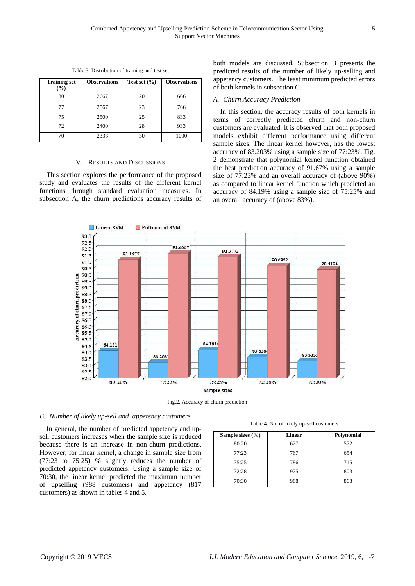| <b>Training set</b><br>$(\%)$ | <b>Observations</b> | Test set $(\% )$ | <b>Observations</b> |
|-------------------------------|---------------------|------------------|---------------------|
| 80                            | 2667                | 20               | 666                 |
| 77                            | 2567                | 23               | 766                 |
| 75                            | 2500                | 25               | 833                 |
| 72                            | 2400                | 28               | 933                 |
| 70                            | 2333                | 30               | 1000                |

Table 3. Distribution of training and test set

#### V. RESULTS AND DISCUSSIONS

This section explores the performance of the proposed study and evaluates the results of the different kernel functions through standard evaluation measures. In subsection A, the churn predictions accuracy results of both models are discussed. Subsection B presents the predicted results of the number of likely up-selling and appetency customers. The least minimum predicted errors of both kernels in subsection C.

#### *A. Churn Accuracy Prediction*

In this section, the accuracy results of both kernels in terms of correctly predicted churn and non-churn customers are evaluated. It is observed that both proposed models exhibit different performance using different sample sizes. The linear kernel however, has the lowest accuracy of 83.203% using a sample size of 77:23%. Fig. 2 demonstrate that polynomial kernel function obtained the best prediction accuracy of 91.67% using a sample size of 77:23% and an overall accuracy of (above 90%) as compared to linear kernel function which predicted an accuracy of 84.19% using a sample size of 75:25% and an overall accuracy of (above 83%).



Fig.2. Accuracy of churn prediction

## *B. Number of likely up-sell and appetency customers*

In general, the number of predicted appetency and upsell customers increases when the sample size is reduced because there is an increase in non-churn predictions. However, for linear kernel, a change in sample size from (77:23 to 75:25) % slightly reduces the number of predicted appetency customers. Using a sample size of 70:30, the linear kernel predicted the maximum number of upselling (988 customers) and appetency (817 customers) as shown in tables 4 and 5.

Table 4. No. of likely up-sell customers

| Sample sizes $(\% )$ | <b>Linear</b> | Polynomial |
|----------------------|---------------|------------|
| 80:20                | 627           | 572        |
| 77:23                | 767           | 654        |
| 75:25                | 786           | 715        |
| 72:28                | 925           | 803        |
| 70:30                | 988           | 863        |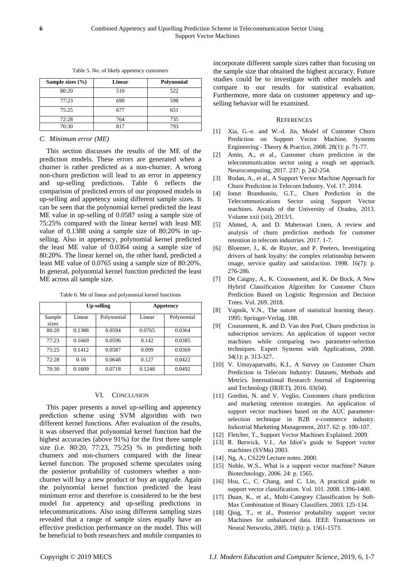| Sample sizes $(\% )$ | Linear | Polynomial |
|----------------------|--------|------------|
| 80:20                | 510    | 522        |
| 77:23                | 690    | 598        |
| 75:25                | 677    | 651        |
| 72:28                | 764    | 735        |
| 70:30                | 817    | 793        |

Table 5. No. of likely appetency customers

### *C. Minimum error (ME)*

This section discusses the results of the ME of the prediction models. These errors are generated when a churner is rather predicted as a non-churner. A wrong non-churn prediction will lead to an error in appetency and up-selling predictions. Table 6 reflects the comparison of predicted errors of our proposed models in up-selling and appetency using different sample sizes. It can be seen that the polynomial kernel predicted the least ME value in up-selling of 0.0587 using a sample size of 75:25% compared with the linear kernel with least ME value of 0.1388 using a sample size of 80:20% in upselling. Also in appetency, polynomial kernel predicted the least ME value of 0.0364 using a sample size of 80:20%. The linear kernel on, the other hand, predicted a least ME value of 0.0765 using a sample size of 80:20%. In general, polynomial kernel function predicted the least ME across all sample size.

Table 6. Me of linear and polynomial kernel functions

|                 |        | <b>Up-selling</b> |        | Appetency  |
|-----------------|--------|-------------------|--------|------------|
| Sample<br>sizes | Linear | Polynomial        | Linear | Polynomial |
| 80:20           | 0.1388 | 0.0594            | 0.0765 | 0.0364     |
| 77:23           | 0.1669 | 0.0596            | 0.142  | 0.0385     |
| 75:25           | 0.1412 | 0.0587            | 0.099  | 0.0369     |
| 72:28           | 0.16   | 0.0648            | 0.127  | 0.0422     |
| 70:30           | 0.1609 | 0.0718            | 0.1248 | 0.0492     |

### VI. CONCLUSION

This paper presents a novel up-selling and appetency prediction scheme using SVM algorithm with two different kernel functions. After evaluation of the results, it was observed that polynomial kernel function had the highest accuracies (above 91%) for the first three sample size (i.e. 80:20, 77:23, 75:25) % in predicting both churners and non-churners compared with the linear kernel function. The proposed scheme speculates using the posterior probability of customers whether a nonchurner will buy a new product or buy an upgrade. Again the polynomial kernel function predicted the least minimum error and therefore is considered to be the best model for appetency and up-selling predictions in telecommunications. Also using different sampling sizes revealed that a range of sample sizes equally have an effective prediction performance on the model. This will be beneficial to both researchers and mobile companies to

incorporate different sample sizes rather than focusing on the sample size that obtained the highest accuracy. Future studies could be to investigate with other models and compare to our results for statistical evaluation. Furthermore, more data on customer appetency and upselling behavior will be examined.

#### **REFERENCES**

- [1] Xia, G.-e. and W.-d. Jin, Model of Customer Churn Prediction on Support Vector Machine. Systems Engineering - Theory & Practice, 2008. 28(1): p. 71-77.
- [2] Amin, A., et al., Customer churn prediction in the telecommunication sector using a rough set approach. Neurocomputing, 2017. 237: p. 242-254.
- [3] Rodan, A., et al., A Support Vector Machine Approach for Churn Prediction in Telecom Industry. Vol. 17. 2014.
- [4] Ionut Brandusoiu, G.T., Churn Prediction in the Telecommunications Sector using Support Vector machines. Annals of the University of Oradea, 2013. Volume xxii (xii), 2013/1.
- [5] Ahmed, A. and D. Maheswari Linen, A review and analysis of churn prediction methods for customer retention in telecom industries. 2017. 1-7.
- [6] Bloemer, J., K. de Ruyter, and P. Peeters, Investigating drivers of bank loyalty: the complex relationship between image, service quality and satisfaction. 1998. 16(7): p. 276-286.
- [7] De Caigny, A., K. Coussement, and K. De Bock, A New Hybrid Classification Algorithm for Customer Churn Prediction Based on Logistic Regression and Decision Trees. Vol. 269. 2018.
- [8] Vapnik, V.N., The nature of statistical learning theory. 1995: Springer-Verlag. 188.
- [9] Coussement, K. and D. Van den Poel, Churn prediction in subscription services: An application of support vector machines while comparing two parameter*-*selection techniques. Expert Systems with Applications, 2008. 34(1): p. 313-327.
- [10] V. Umayaparvathi, K.I., A Survey on Customer Churn Prediction in Telecom Industry: Datasets, Methods and Metrics. International Research Journal of Engineering and Technology (IRJET), 2016. 03(04).
- [11] Gordini, N. and V. Veglio, Customers churn prediction and marketing retention strategies. An application of support vector machines based on the AUC parameterselection technique in B2B e-commerce industry. Industrial Marketing Management, 2017. 62: p. 100-107.
- <span id="page-5-0"></span>[12] Fletcher, T., Support Vector Machines Explained. 2009.
- <span id="page-5-1"></span>[13] R. Berwick, V.I., An Idiot's guide to Support vector machines (SVMs) 2003.
- <span id="page-5-2"></span>[14] Ng, A., CS229 Lecture notes. 2000.
- <span id="page-5-3"></span>[15] Noble, W.S., What is a support vector machine? Nature Biotechnology, 2006. 24: p. 1565.
- <span id="page-5-4"></span>[16] Hsu, C., C. Chang, and C. Lin, A practical guide to support vector classification. Vol. 101. 2008. 1396-1400.
- <span id="page-5-5"></span>[17] Duan, K., et al., Multi-Category Classification by Soft-Max Combination of Binary Classifiers. 2003. 125-134.
- <span id="page-5-6"></span>[18] Qing, T., et al., Posterior probability support vector Machines for unbalanced data. IEEE Transactions on Neural Networks, 2005. 16(6): p. 1561-1573.